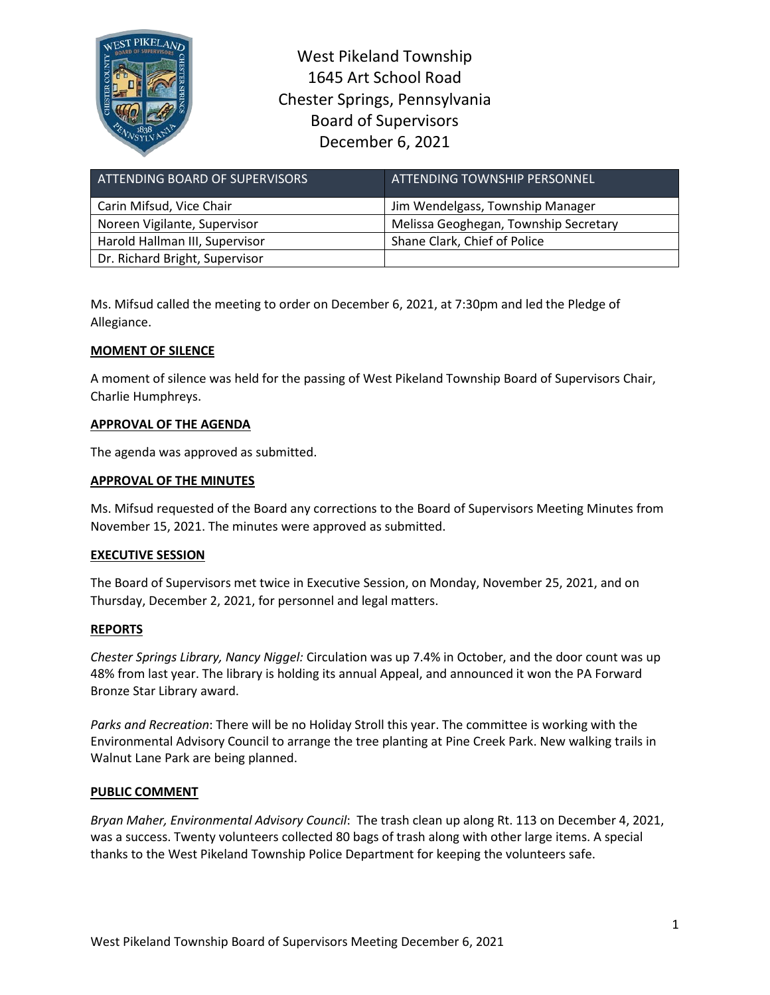

West Pikeland Township 1645 Art School Road Chester Springs, Pennsylvania Board of Supervisors December 6, 2021

| ATTENDING BOARD OF SUPERVISORS | ATTENDING TOWNSHIP PERSONNEL          |
|--------------------------------|---------------------------------------|
| Carin Mifsud, Vice Chair       | Jim Wendelgass, Township Manager      |
| Noreen Vigilante, Supervisor   | Melissa Geoghegan, Township Secretary |
| Harold Hallman III, Supervisor | Shane Clark, Chief of Police          |
| Dr. Richard Bright, Supervisor |                                       |

Ms. Mifsud called the meeting to order on December 6, 2021, at 7:30pm and led the Pledge of Allegiance.

# **MOMENT OF SILENCE**

A moment of silence was held for the passing of West Pikeland Township Board of Supervisors Chair, Charlie Humphreys.

# **APPROVAL OF THE AGENDA**

The agenda was approved as submitted.

### **APPROVAL OF THE MINUTES**

Ms. Mifsud requested of the Board any corrections to the Board of Supervisors Meeting Minutes from November 15, 2021. The minutes were approved as submitted.

### **EXECUTIVE SESSION**

The Board of Supervisors met twice in Executive Session, on Monday, November 25, 2021, and on Thursday, December 2, 2021, for personnel and legal matters.

### **REPORTS**

*Chester Springs Library, Nancy Niggel:* Circulation was up 7.4% in October, and the door count was up 48% from last year. The library is holding its annual Appeal, and announced it won the PA Forward Bronze Star Library award.

*Parks and Recreation*: There will be no Holiday Stroll this year. The committee is working with the Environmental Advisory Council to arrange the tree planting at Pine Creek Park. New walking trails in Walnut Lane Park are being planned.

### **PUBLIC COMMENT**

*Bryan Maher, Environmental Advisory Council*: The trash clean up along Rt. 113 on December 4, 2021, was a success. Twenty volunteers collected 80 bags of trash along with other large items. A special thanks to the West Pikeland Township Police Department for keeping the volunteers safe.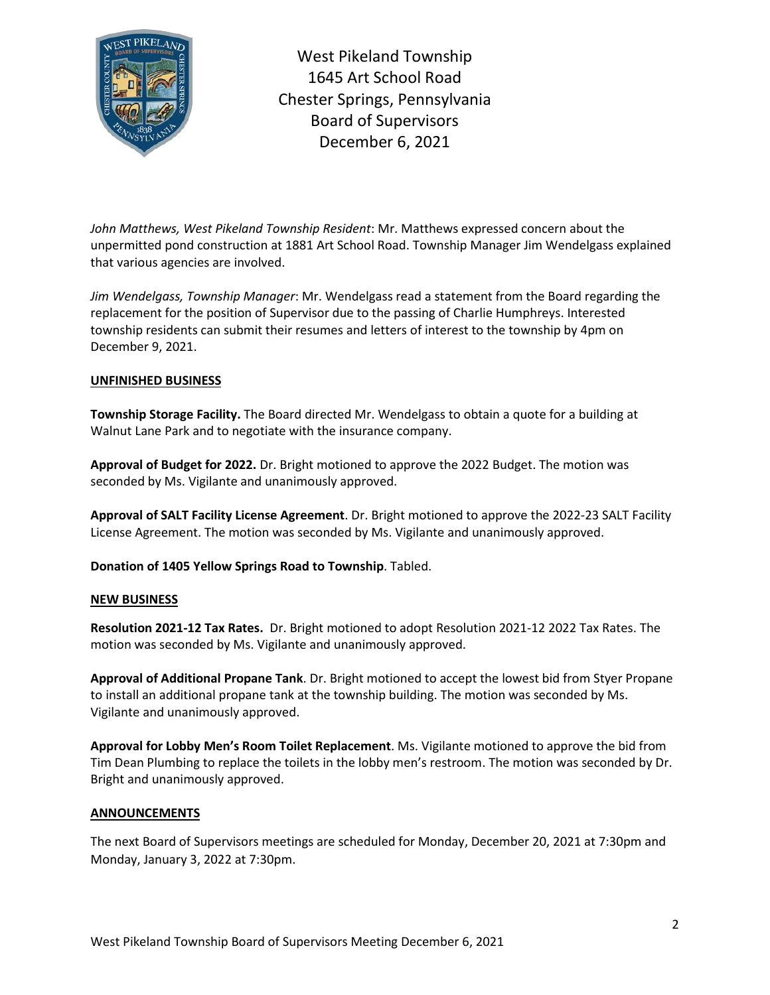

West Pikeland Township 1645 Art School Road Chester Springs, Pennsylvania Board of Supervisors December 6, 2021

*John Matthews, West Pikeland Township Resident*: Mr. Matthews expressed concern about the unpermitted pond construction at 1881 Art School Road. Township Manager Jim Wendelgass explained that various agencies are involved.

*Jim Wendelgass, Township Manager*: Mr. Wendelgass read a statement from the Board regarding the replacement for the position of Supervisor due to the passing of Charlie Humphreys. Interested township residents can submit their resumes and letters of interest to the township by 4pm on December 9, 2021.

### **UNFINISHED BUSINESS**

**Township Storage Facility.** The Board directed Mr. Wendelgass to obtain a quote for a building at Walnut Lane Park and to negotiate with the insurance company.

**Approval of Budget for 2022.** Dr. Bright motioned to approve the 2022 Budget. The motion was seconded by Ms. Vigilante and unanimously approved.

**Approval of SALT Facility License Agreement**. Dr. Bright motioned to approve the 2022-23 SALT Facility License Agreement. The motion was seconded by Ms. Vigilante and unanimously approved.

**Donation of 1405 Yellow Springs Road to Township**. Tabled.

#### **NEW BUSINESS**

**Resolution 2021-12 Tax Rates.** Dr. Bright motioned to adopt Resolution 2021-12 2022 Tax Rates. The motion was seconded by Ms. Vigilante and unanimously approved.

**Approval of Additional Propane Tank**. Dr. Bright motioned to accept the lowest bid from Styer Propane to install an additional propane tank at the township building. The motion was seconded by Ms. Vigilante and unanimously approved.

**Approval for Lobby Men's Room Toilet Replacement**. Ms. Vigilante motioned to approve the bid from Tim Dean Plumbing to replace the toilets in the lobby men's restroom. The motion was seconded by Dr. Bright and unanimously approved.

#### **ANNOUNCEMENTS**

The next Board of Supervisors meetings are scheduled for Monday, December 20, 2021 at 7:30pm and Monday, January 3, 2022 at 7:30pm.